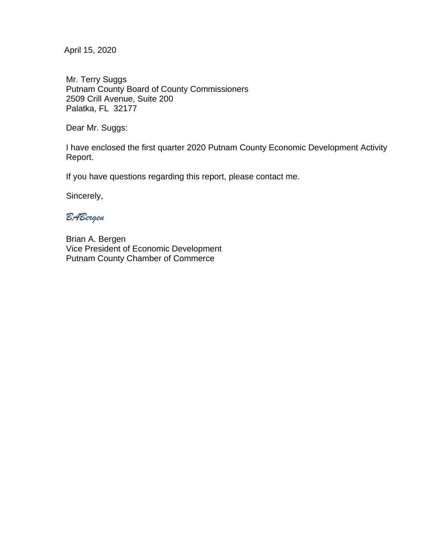April 15, 2020

Mr. Terry Suggs Putnam County Board of County Commissioners 2509 Crill Avenue, Suite 200 Palatka, FL 32177

Dear Mr. Suggs:

I have enclosed the first quarter 2020 Putnam County Economic Development Activity Report.

If you have questions regarding this report, please contact me.

Sincerely,

*BABergen*

Brian A. Bergen Vice President of Economic Development Putnam County Chamber of Commerce